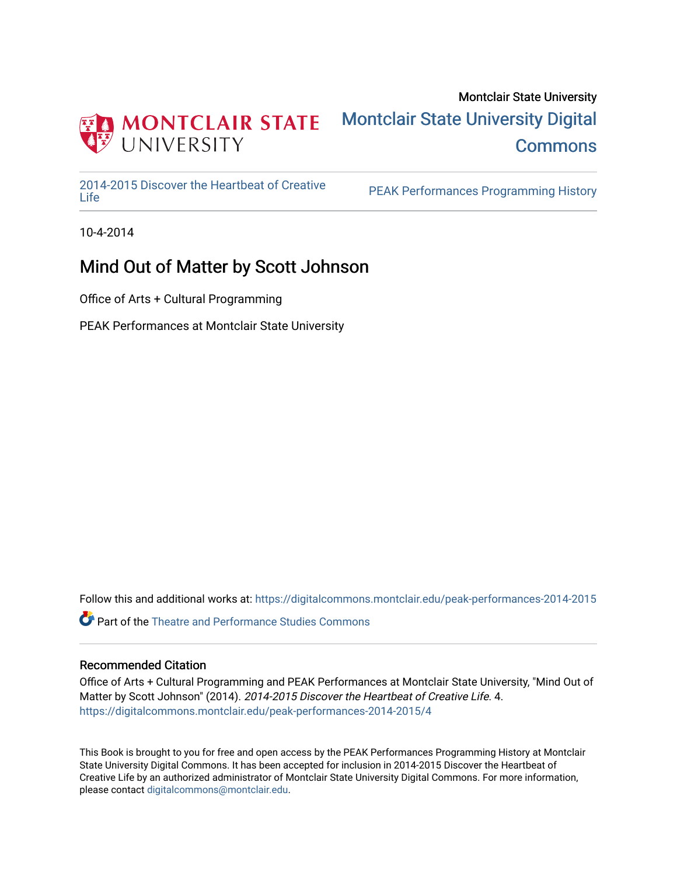

### Montclair State University [Montclair State University Digital](https://digitalcommons.montclair.edu/)  **Commons**

[2014-2015 Discover the Heartbeat of Creative](https://digitalcommons.montclair.edu/peak-performances-2014-2015) 

PEAK Performances Programming History

10-4-2014

### Mind Out of Matter by Scott Johnson

Office of Arts + Cultural Programming

PEAK Performances at Montclair State University

Follow this and additional works at: [https://digitalcommons.montclair.edu/peak-performances-2014-2015](https://digitalcommons.montclair.edu/peak-performances-2014-2015?utm_source=digitalcommons.montclair.edu%2Fpeak-performances-2014-2015%2F4&utm_medium=PDF&utm_campaign=PDFCoverPages) 

**C** Part of the Theatre and Performance Studies Commons

### Recommended Citation

Office of Arts + Cultural Programming and PEAK Performances at Montclair State University, "Mind Out of Matter by Scott Johnson" (2014). 2014-2015 Discover the Heartbeat of Creative Life. 4. [https://digitalcommons.montclair.edu/peak-performances-2014-2015/4](https://digitalcommons.montclair.edu/peak-performances-2014-2015/4?utm_source=digitalcommons.montclair.edu%2Fpeak-performances-2014-2015%2F4&utm_medium=PDF&utm_campaign=PDFCoverPages) 

This Book is brought to you for free and open access by the PEAK Performances Programming History at Montclair State University Digital Commons. It has been accepted for inclusion in 2014-2015 Discover the Heartbeat of Creative Life by an authorized administrator of Montclair State University Digital Commons. For more information, please contact [digitalcommons@montclair.edu.](mailto:digitalcommons@montclair.edu)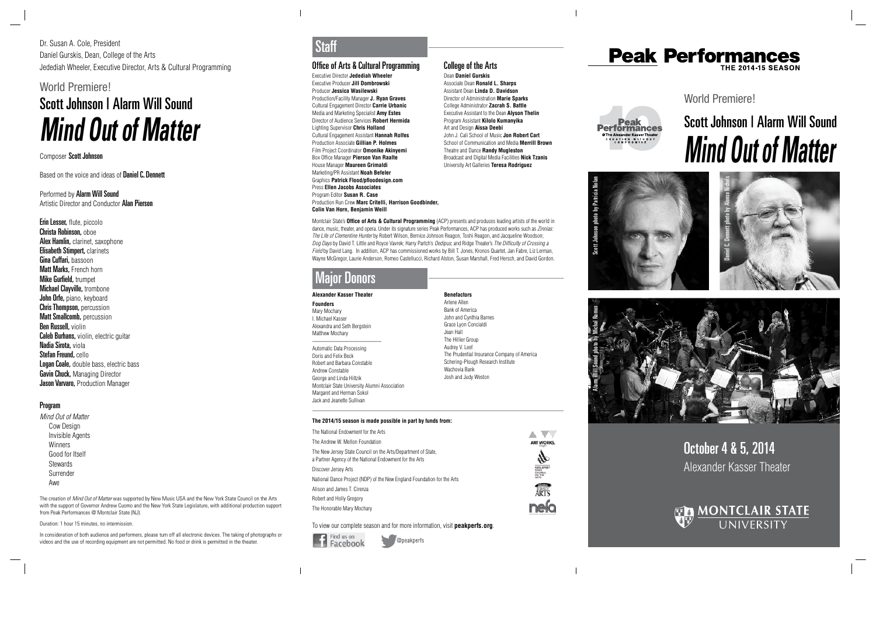October 4 & 5, 2014 Alexander Kasser Theater



World Premiere!



# Scott Johnson | Alarm Will Sound **Mind Out of Matter**









### Performed by Alarm Will Sound Artistic Director and Conductor Alan Pierson

Erin Lesser, flute, piccolo Christa Robinson, oboe Alex Hamlin, clarinet, saxophone **Elisabeth Stimpert, clarinets** Gina Cuffari, bassoon **Matt Marks, French horn Mike Gurfield, trumpet Michael Clayville, trombone** John Orfe, piano, keyboard **Chris Thompson, percussion** Matt Smallcomb, percussion Ben Russell, violin **Caleb Burhans, violin, electric guitar** Nadia Sirota, viola Stefan Freund, cello Logan Coale, double bass, electric bass **Gavin Chuck, Managing Director** Jason Varvaro, Production Manager

Dr. Susan A. Cole, President Daniel Gurskis, Dean, College of the Arts Jedediah Wheeler, Executive Director, Arts & Cultural Programming

World Premiere!

## Scott Johnson | Alarm Will Sound **Mind Out of Matter**

#### Composer Scott Johnson

Based on the voice and ideas of **Daniel C. Dennett** 

The creation of Mind Out of Matter was supported by New Music USA and the New York State Council on the Arts with the support of Governor Andrew Cuomo and the New York State Legislature, with additional production support from Peak Performances @ Montclair State (NJ).

### Program

Mind Out of Matter Cow Design Invisible Agents Winners Good for Itself **Stewards** Surrender Awe

Duration: 1 hour 15 minutes, no intermission.

In consideration of both audience and performers, please turn off all electronic devices. The taking of photographs or videos and the use of recording equipment are not permitted. No food or drink is permitted in the theater.

#### Office of Arts & Cultural Programming

Executive Director **Jedediah Wheeler** Executive Producer **Jill Dombrowski** Producer **Jessica Wasilewski** Production/Facility Manager **J. Ryan Graves** Cultural Engagement Director **Carrie Urbanic** Media and Marketing Specialist **Amy Estes** Director of Audience Services **Robert Hermida** Lighting Supervisor **Chris Holland** Cultural Engagement Assistant **Hannah Rolfes**  Production Associate **Gillian P. Holmes**  Film Project Coordinator **Omonike Akinyemi** Box Office Manager **Pierson Van Raalte** House Manager **Maureen Grimaldi** Marketing/PR Assistant **Noah Befeler** Graphics **Patrick Flood/pfloodesign.com** Press **Ellen Jacobs Associates** Program Editor **Susan R. Case** Production Run Crew **Marc Critelli, Harrison Goodbinder, Colin Van Horn, Benjamin Weill**

Montclair State's **Office of Arts & Cultural Programming** (ACP) presents and produces leading artists of the world in dance, music, theater, and opera. Under its signature series Peak Performances, ACP has produced works such as Zinnias: The Life of Clementine Hunter by Robert Wilson, Bernice Johnson Reagon, Toshi Reagon, and Jacqueline Woodson; Dog Days by David T. Little and Royce Vavrek; Harry Partch's Oedipus; and Ridge Theater's The Difficulty of Crossing a Field by David Lang. In addition, ACP has commissioned works by Bill T. Jones, Kronos Quartet, Jan Fabre, Liz Lerman, Wayne McGregor, Laurie Anderson, Romeo Castellucci, Richard Alston, Susan Marshall, Fred Hersch, and David Gordon.

@peakperfs

## Staff

**Alexander Kasser Theater**

**Founders** Mary Mochary I. Michael Kasser Alexandra and Seth Bergstein Matthew Mochary

\_\_\_\_\_\_\_\_\_\_\_\_\_\_\_\_\_\_\_\_\_\_\_\_

Automatic Data Processing Doris and Felix Beck Robert and Barbara Constable Andrew Constable George and Linda Hiltzik Montclair State University Alumni Association Margaret and Herman Sokol Jack and Jeanette Sullivan

#### **Benefactors** Arlene Allen Bank of America John and Cynthia Barnes Grace Lyon Concialdi Jean Hall The Hillier Group Audrey V. Leef The Prudential Insurance Company of America Schering-Plough Research Institute Wachovia Bank Josh and Judy Weston

### Major Donors

#### **The 2014/15 season is made possible in part by funds from:**

| The National Endowment for the Arts                                                                                      |                   |
|--------------------------------------------------------------------------------------------------------------------------|-------------------|
| The Andrew W. Mellon Foundation                                                                                          | ART WORKS.        |
| The New Jersey State Council on the Arts/Department of State.<br>a Partner Agency of the National Endowment for the Arts |                   |
| Discover Jersey Arts                                                                                                     | state.<br>"Ouncil |
| National Dance Project (NDP) of the New England Foundation for the Arts                                                  | <b>IRTS</b>       |
| Alison and James T. Cirenza                                                                                              |                   |
| Robert and Holly Gregory                                                                                                 |                   |
| The Honorable Mary Mochary                                                                                               |                   |

To view our complete season and for more information, visit **peakperfs.org**.

$$
\blacksquare
$$
  
\nFind us on  
\nFacebook

 $\blacksquare$ 

### College of the Arts

Dean **Daniel Gurskis** Associate Dean **Ronald L. Sharps** Assistant Dean **Linda D. Davidson** Director of Administration **Marie Sparks** College Administrator **Zacrah S. Battle** Executive Assistant to the Dean **Alyson Thelin** Program Assistant **Kilolo Kumanyika** Art and Design **Aissa Deebi** John J. Cali School of Music **Jon Robert Cart** School of Communication and Media **Merrill Brown** Theatre and Dance **Randy Mugleston** Broadcast and Digital Media Facilities **Nick Tzanis** University Art Galleries **Teresa Rodriguez**